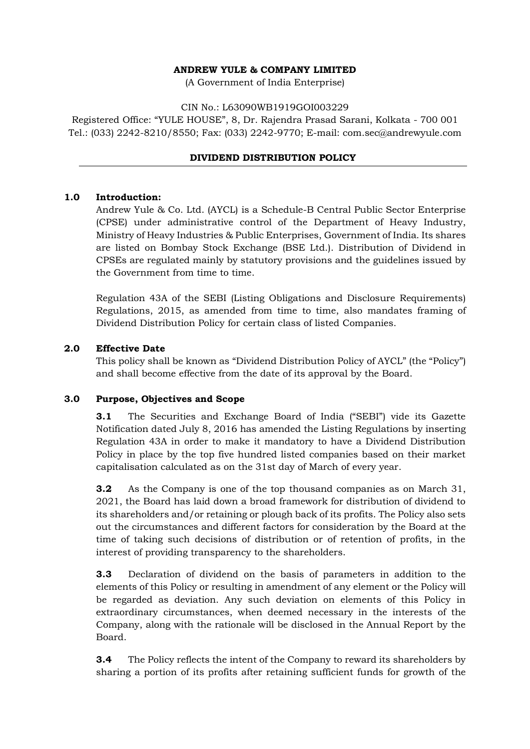## **ANDREW YULE & COMPANY LIMITED**

(A Government of India Enterprise)

### CIN No.: L63090WB1919GOI003229

Registered Office: "YULE HOUSE", 8, Dr. Rajendra Prasad Sarani, Kolkata - 700 001 Tel.: (033) 2242-8210/8550; Fax: (033) 2242-9770; E-mail: [com.sec@andrewyule.com](mailto:com.sec@andrewyule.com)

## **DIVIDEND DISTRIBUTION POLICY**

### **1.0 Introduction:**

Andrew Yule & Co. Ltd. (AYCL) is a Schedule-B Central Public Sector Enterprise (CPSE) under administrative control of the Department of Heavy Industry, Ministry of Heavy Industries & Public Enterprises, Government of India. Its shares are listed on Bombay Stock Exchange (BSE Ltd.). Distribution of Dividend in CPSEs are regulated mainly by statutory provisions and the guidelines issued by the Government from time to time.

Regulation 43A of the SEBI (Listing Obligations and Disclosure Requirements) Regulations, 2015, as amended from time to time, also mandates framing of Dividend Distribution Policy for certain class of listed Companies.

### **2.0 Effective Date**

This policy shall be known as "Dividend Distribution Policy of AYCL" (the "Policy") and shall become effective from the date of its approval by the Board.

#### **3.0 Purpose, Objectives and Scope**

**3.1** The Securities and Exchange Board of India ("SEBI") vide its Gazette Notification dated July 8, 2016 has amended the Listing Regulations by inserting Regulation 43A in order to make it mandatory to have a Dividend Distribution Policy in place by the top five hundred listed companies based on their market capitalisation calculated as on the 31st day of March of every year.

**3.2** As the Company is one of the top thousand companies as on March 31, 2021, the Board has laid down a broad framework for distribution of dividend to its shareholders and/or retaining or plough back of its profits. The Policy also sets out the circumstances and different factors for consideration by the Board at the time of taking such decisions of distribution or of retention of profits, in the interest of providing transparency to the shareholders.

**3.3** Declaration of dividend on the basis of parameters in addition to the elements of this Policy or resulting in amendment of any element or the Policy will be regarded as deviation. Any such deviation on elements of this Policy in extraordinary circumstances, when deemed necessary in the interests of the Company, along with the rationale will be disclosed in the Annual Report by the Board.

**3.4** The Policy reflects the intent of the Company to reward its shareholders by sharing a portion of its profits after retaining sufficient funds for growth of the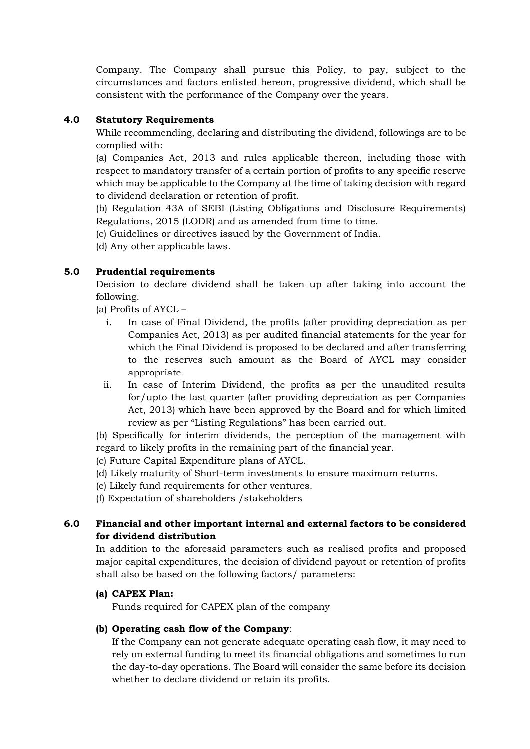Company. The Company shall pursue this Policy, to pay, subject to the circumstances and factors enlisted hereon, progressive dividend, which shall be consistent with the performance of the Company over the years.

# **4.0 Statutory Requirements**

While recommending, declaring and distributing the dividend, followings are to be complied with:

(a) Companies Act, 2013 and rules applicable thereon, including those with respect to mandatory transfer of a certain portion of profits to any specific reserve which may be applicable to the Company at the time of taking decision with regard to dividend declaration or retention of profit.

(b) Regulation 43A of SEBI (Listing Obligations and Disclosure Requirements) Regulations, 2015 (LODR) and as amended from time to time.

(c) Guidelines or directives issued by the Government of India.

(d) Any other applicable laws.

# **5.0 Prudential requirements**

Decision to declare dividend shall be taken up after taking into account the following.

(a) Profits of AYCL –

- i. In case of Final Dividend, the profits (after providing depreciation as per Companies Act, 2013) as per audited financial statements for the year for which the Final Dividend is proposed to be declared and after transferring to the reserves such amount as the Board of AYCL may consider appropriate.
- ii. In case of Interim Dividend, the profits as per the unaudited results for/upto the last quarter (after providing depreciation as per Companies Act, 2013) which have been approved by the Board and for which limited review as per "Listing Regulations" has been carried out.

(b) Specifically for interim dividends, the perception of the management with regard to likely profits in the remaining part of the financial year.

(c) Future Capital Expenditure plans of AYCL.

(d) Likely maturity of Short-term investments to ensure maximum returns.

(e) Likely fund requirements for other ventures.

(f) Expectation of shareholders /stakeholders

# **6.0 Financial and other important internal and external factors to be considered for dividend distribution**

In addition to the aforesaid parameters such as realised profits and proposed major capital expenditures, the decision of dividend payout or retention of profits shall also be based on the following factors/ parameters:

# **(a) CAPEX Plan:**

Funds required for CAPEX plan of the company

# **(b) Operating cash flow of the Company**:

If the Company can not generate adequate operating cash flow, it may need to rely on external funding to meet its financial obligations and sometimes to run the day-to-day operations. The Board will consider the same before its decision whether to declare dividend or retain its profits.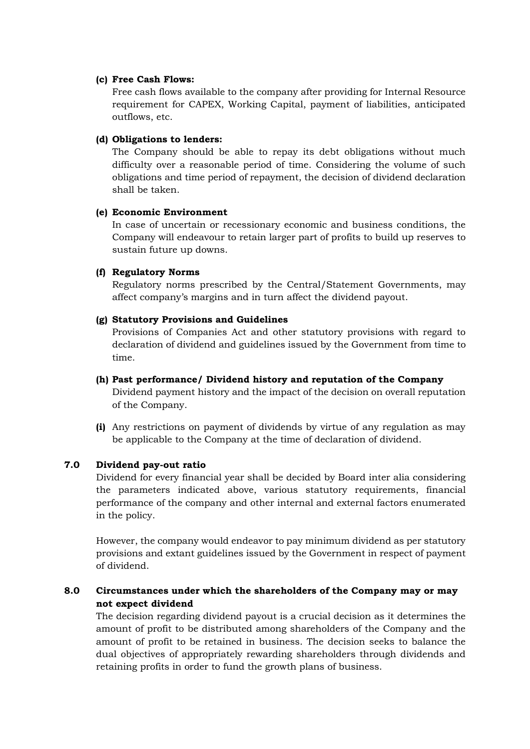#### **(c) Free Cash Flows:**

Free cash flows available to the company after providing for Internal Resource requirement for CAPEX, Working Capital, payment of liabilities, anticipated outflows, etc.

#### **(d) Obligations to lenders:**

The Company should be able to repay its debt obligations without much difficulty over a reasonable period of time. Considering the volume of such obligations and time period of repayment, the decision of dividend declaration shall be taken.

#### **(e) Economic Environment**

In case of uncertain or recessionary economic and business conditions, the Company will endeavour to retain larger part of profits to build up reserves to sustain future up downs.

#### **(f) Regulatory Norms**

Regulatory norms prescribed by the Central/Statement Governments, may affect company's margins and in turn affect the dividend payout.

#### **(g) Statutory Provisions and Guidelines**

Provisions of Companies Act and other statutory provisions with regard to declaration of dividend and guidelines issued by the Government from time to time.

#### **(h) Past performance/ Dividend history and reputation of the Company**

Dividend payment history and the impact of the decision on overall reputation of the Company.

**(i)** Any restrictions on payment of dividends by virtue of any regulation as may be applicable to the Company at the time of declaration of dividend.

### **7.0 Dividend pay-out ratio**

Dividend for every financial year shall be decided by Board inter alia considering the parameters indicated above, various statutory requirements, financial performance of the company and other internal and external factors enumerated in the policy.

However, the company would endeavor to pay minimum dividend as per statutory provisions and extant guidelines issued by the Government in respect of payment of dividend.

# **8.0 Circumstances under which the shareholders of the Company may or may not expect dividend**

The decision regarding dividend payout is a crucial decision as it determines the amount of profit to be distributed among shareholders of the Company and the amount of profit to be retained in business. The decision seeks to balance the dual objectives of appropriately rewarding shareholders through dividends and retaining profits in order to fund the growth plans of business.